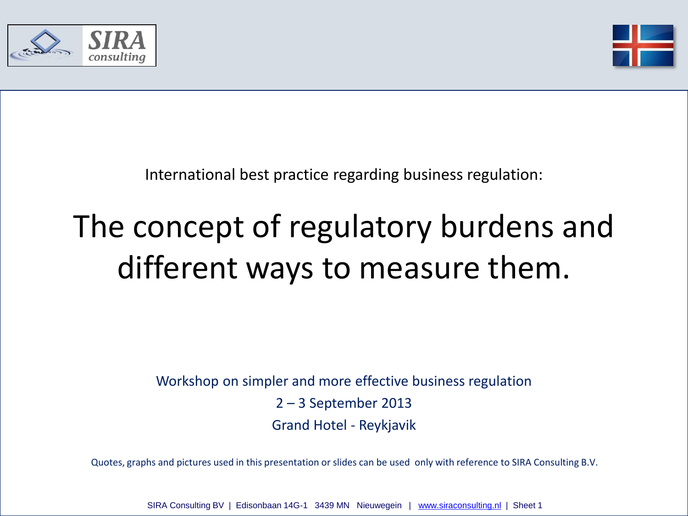



International best practice regarding business regulation:

## The concept of regulatory burdens and different ways to measure them.

Workshop on simpler and more effective business regulation 2 – 3 September 2013 Grand Hotel - Reykjavik

Quotes, graphs and pictures used in this presentation or slides can be used only with reference to SIRA Consulting B.V.

SIRA Consulting BV | Edisonbaan 14G-1 3439 MN Nieuwegein | [www.siraconsulting.nl](http://www.siraconsulting.nl/) | Sheet 1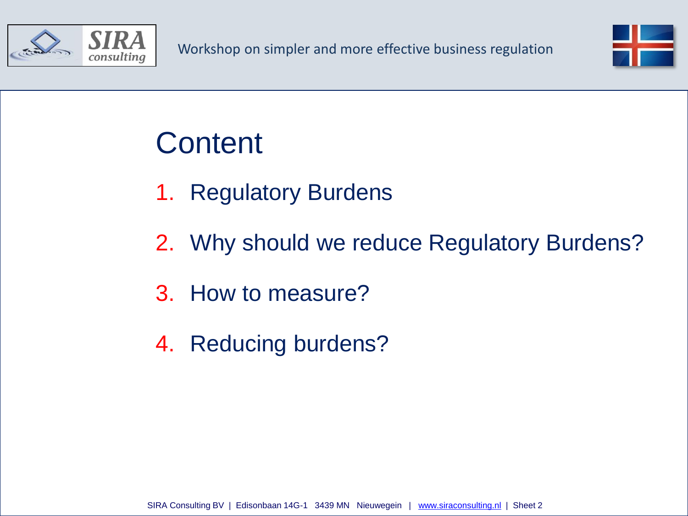



### **Content**

- 1. Regulatory Burdens
- 2. Why should we reduce Regulatory Burdens?
- 3. How to measure?
- 4. Reducing burdens?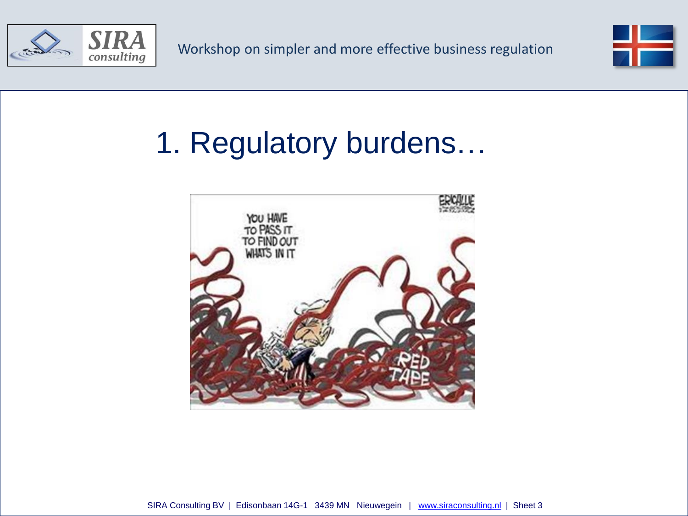



## 1. Regulatory burdens…

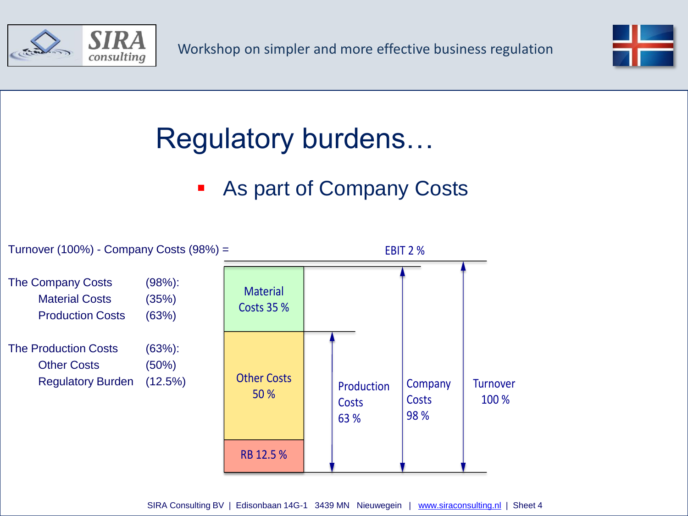



### Regulatory burdens…

#### **As part of Company Costs**

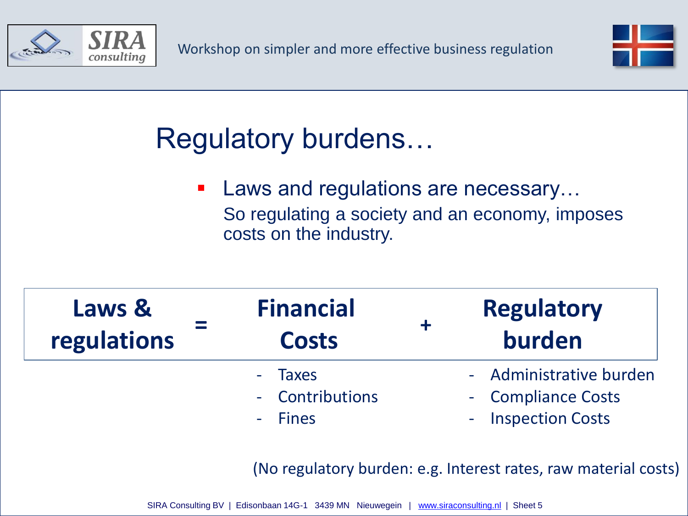



### Regulatory burdens…

■ Laws and regulations are necessary... So regulating a society and an economy, imposes costs on the industry.

| Laws &      | <b>Financial</b>                      | <b>Regulatory</b>                                                   |
|-------------|---------------------------------------|---------------------------------------------------------------------|
| regulations | <b>Costs</b>                          | burden                                                              |
|             | - Taxes<br>- Contributions<br>- Fines | - Administrative burden<br>- Compliance Costs<br>- Inspection Costs |

(No regulatory burden: e.g. Interest rates, raw material costs)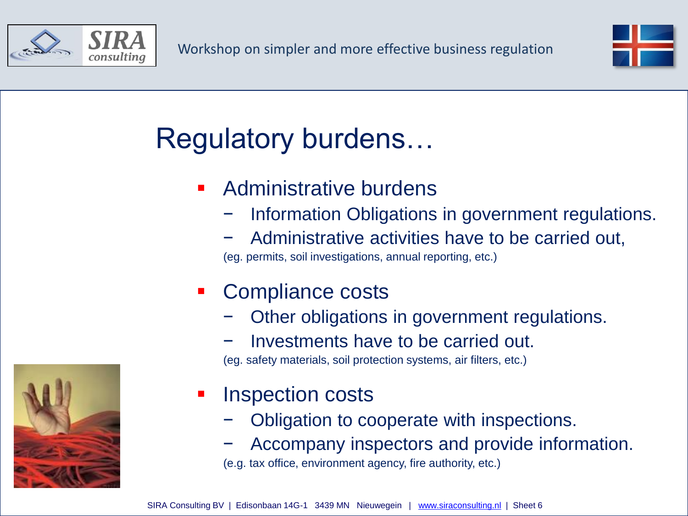



### Regulatory burdens…

- Administrative burdens
	- Information Obligations in government regulations.
	- − Administrative activities have to be carried out,

(eg. permits, soil investigations, annual reporting, etc.)

#### Compliance costs

- Other obligations in government regulations.
- − Investments have to be carried out.

(eg. safety materials, soil protection systems, air filters, etc.)

- Inspection costs
	- − Obligation to cooperate with inspections.
	- − Accompany inspectors and provide information.

(e.g. tax office, environment agency, fire authority, etc.)

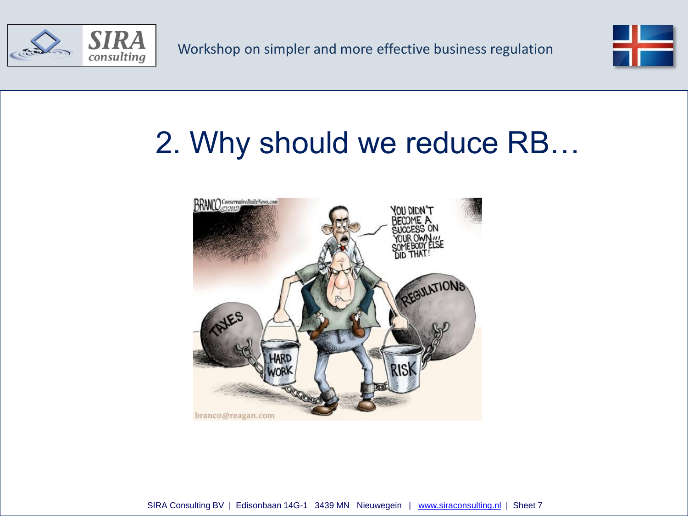



### 2. Why should we reduce RB…

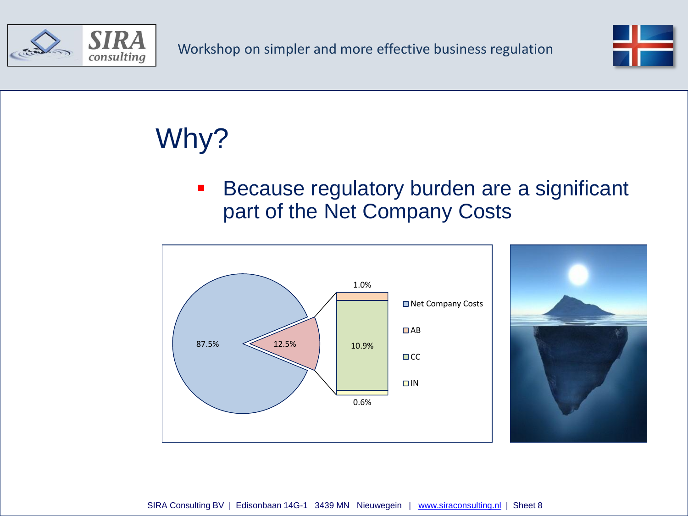



# Why?

**Because regulatory burden are a significant** part of the Net Company Costs



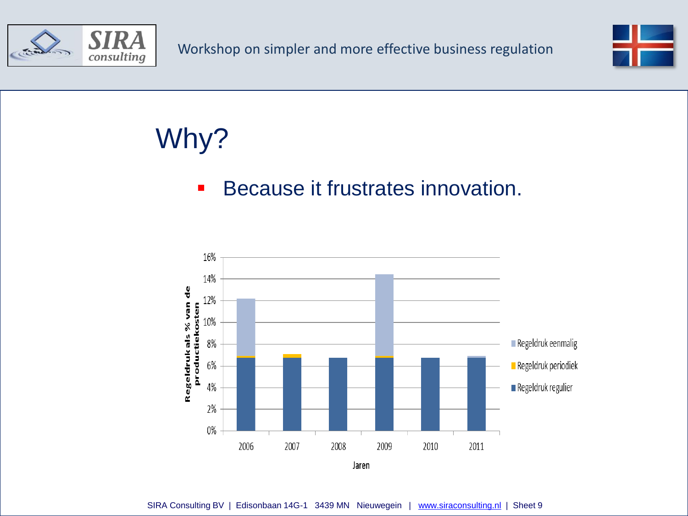



## Why?

#### Because it frustrates innovation.

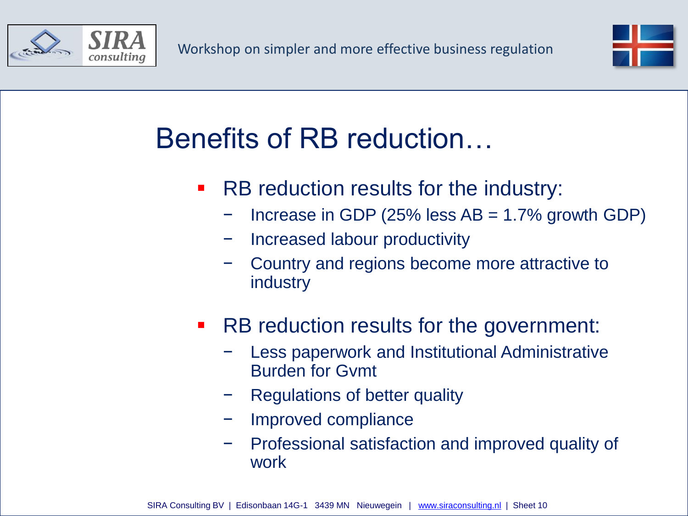



### Benefits of RB reduction…

- RB reduction results for the industry:
	- $I$  Increase in GDP (25% less AB = 1.7% growth GDP)
	- − Increased labour productivity
	- − Country and regions become more attractive to industry
- **-** RB reduction results for the government:
	- Less paperwork and Institutional Administrative Burden for Gvmt
	- Regulations of better quality
	- − Improved compliance
	- − Professional satisfaction and improved quality of work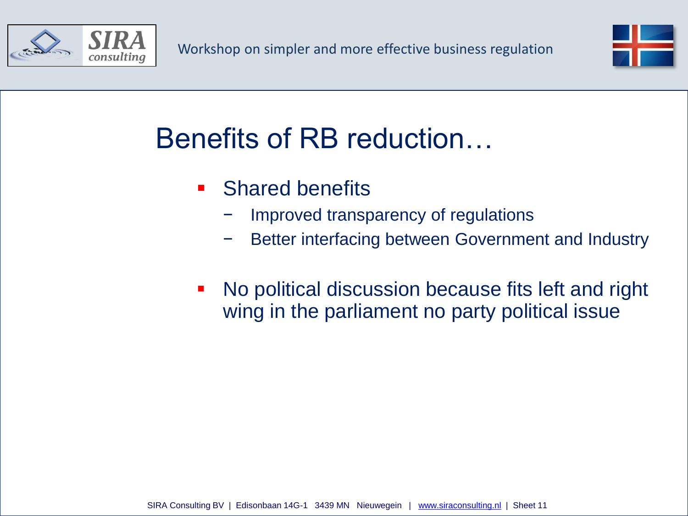



### Benefits of RB reduction…

- **Shared benefits** 
	- Improved transparency of regulations
	- Better interfacing between Government and Industry
- No political discussion because fits left and right wing in the parliament no party political issue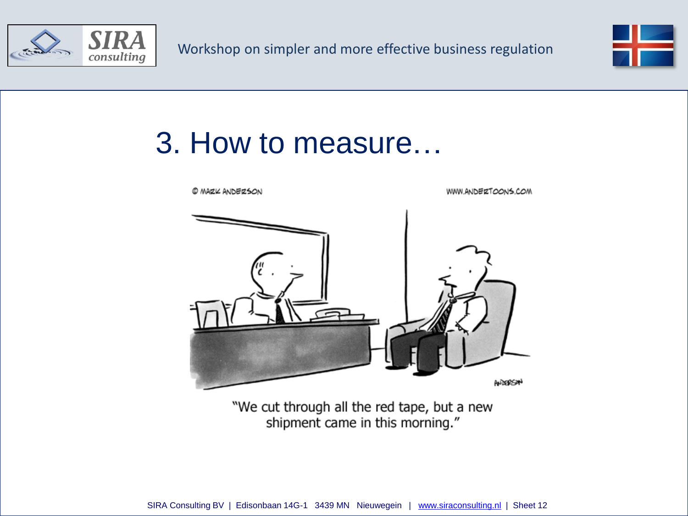



#### 3. How to measure…



"We cut through all the red tape, but a new shipment came in this morning."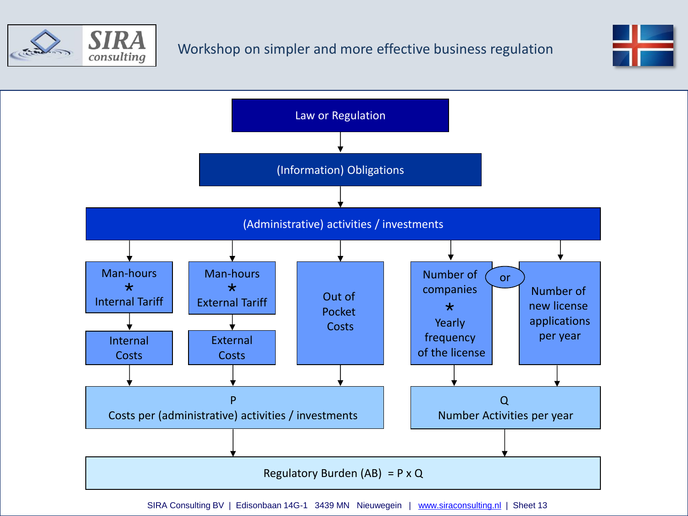



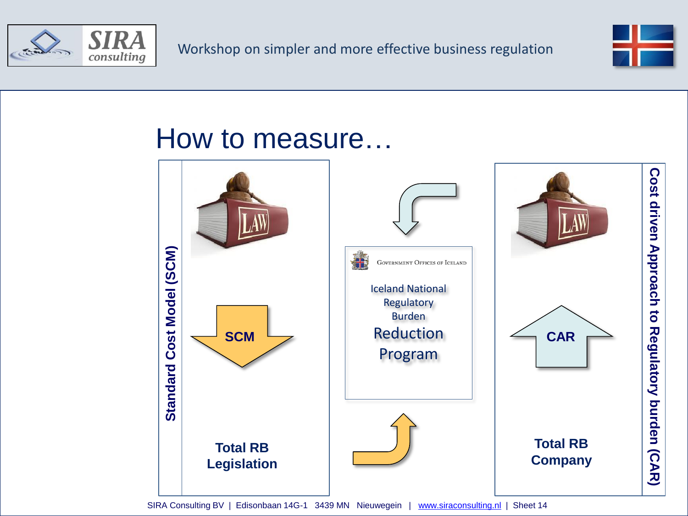



#### How to measure…

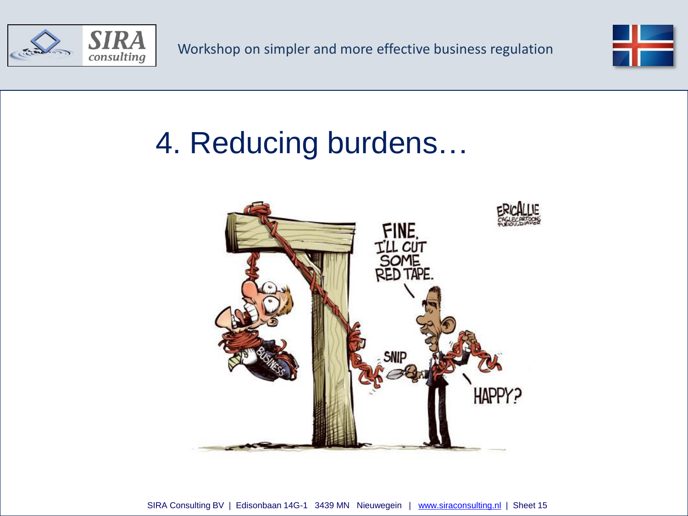



### 4. Reducing burdens…

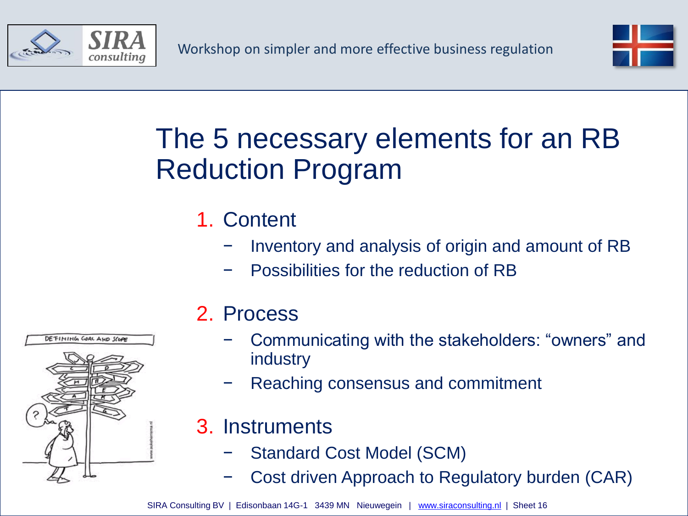



#### The 5 necessary elements for an RB Reduction Program

#### 1. Content

- Inventory and analysis of origin and amount of RB
- − Possibilities for the reduction of RB

#### 2. Process

- − Communicating with the stakeholders: "owners" and industry
- − Reaching consensus and commitment
- 3. Instruments
	- − Standard Cost Model (SCM)
	- − Cost driven Approach to Regulatory burden (CAR)

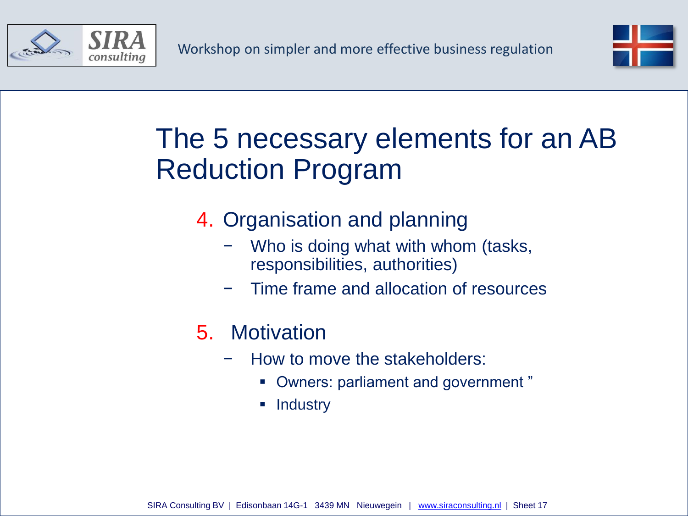



#### The 5 necessary elements for an AB Reduction Program

- 4. Organisation and planning
	- − Who is doing what with whom (tasks, responsibilities, authorities)
	- − Time frame and allocation of resources
- 5. Motivation
	- − How to move the stakeholders:
		- Owners: parliament and government "
		- **Industry**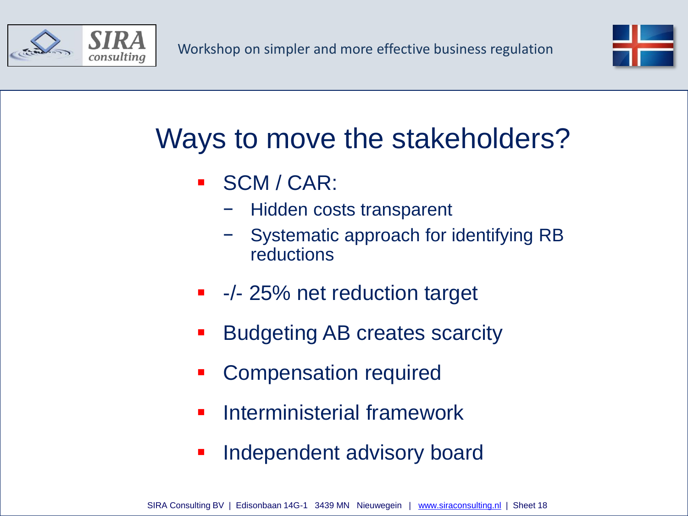



#### Ways to move the stakeholders?

- SCM / CAR:
	- − Hidden costs transparent
	- − Systematic approach for identifying RB reductions
- -/- 25% net reduction target
- Budgeting AB creates scarcity
- Compensation required
- Interministerial framework
- **Independent advisory board**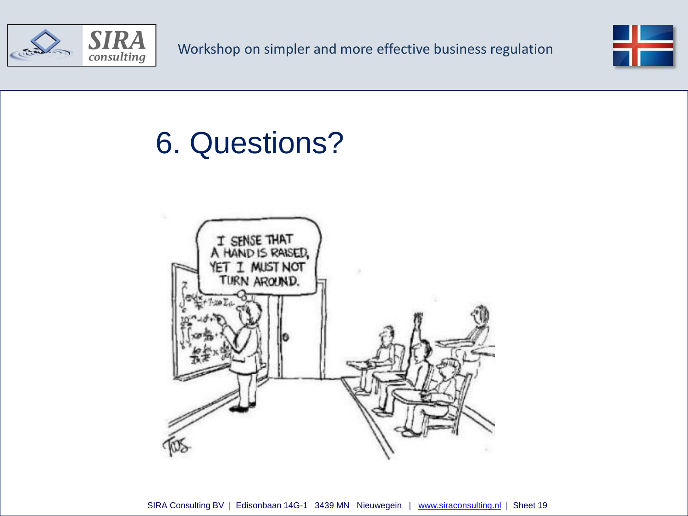



### 6. Questions?